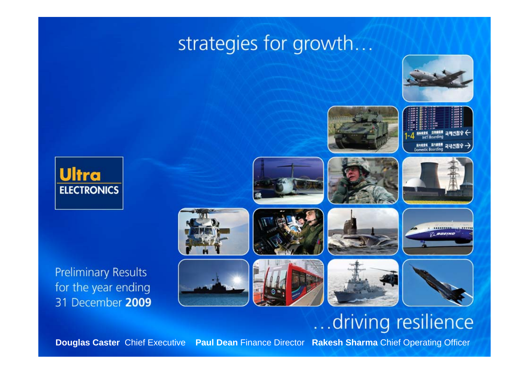# strategies for growth...





**Preliminary Results** for the year ending 31 December 2009



# ...driving resilience

 $\blacksquare$ **Douglas Caster** Chief Executive  **Paul Dean** Finance Director **Rakesh Sharma** Chief Operating Officer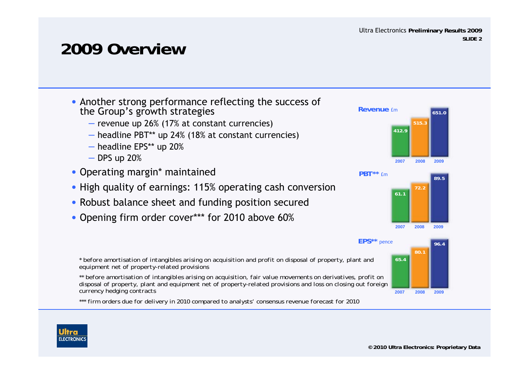# **2009 Overview**

- Another strong performance reflecting the success of the Group's growth strategies
	- revenue up 26% (17% at constant currencies)
	- headline PBT\*\* up 24% (18% at constant currencies)
	- headline EPS\*\* up 20%
	- DPS up 20%

**ELECTRONIC** 

- Operating margin\* maintained
- High quality of earnings: 115% operating cash conversion
- Robust balance sheet and funding position secured
- Opening firm order cover\*\*\* for 2010 above 60%



*\* before amortisation of intangibles arising on acquisition and profit on disposal of property, plant and equipment net of property-related provisions*

*\*\* before amortisation of intangibles arising on acquisition, fair value movements on derivatives, profit on disposal of property, plant and equipment net of property-related provisions and loss on closing out foreign currency hedging contracts*

*\*\*\* firm orders due for delivery in 2010 compared to analysts' consensus revenue forecast for 2010*



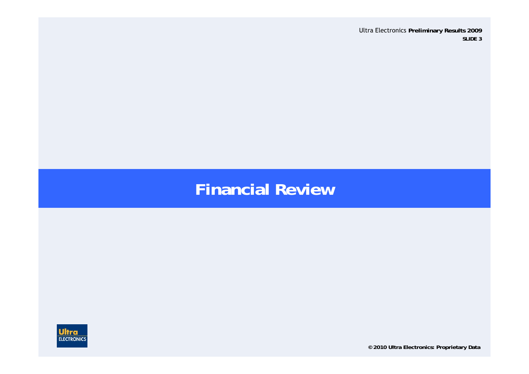## **Financial Review**



**© 2010 Ultra Electronics: Proprietary Data**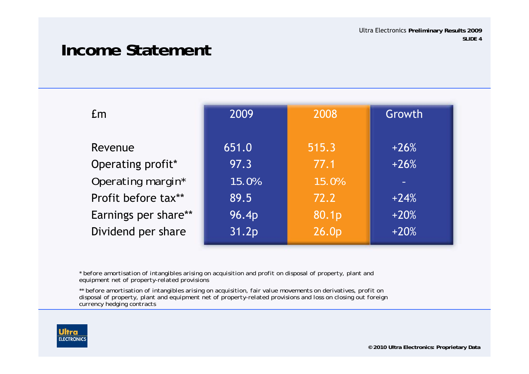## **Income Statement**

| <b>Em</b>            | 2009  | 2008  | Growth |
|----------------------|-------|-------|--------|
| Revenue              | 651.0 | 515.3 | $+26%$ |
| Operating profit*    | 97.3  | 77.1  | $+26%$ |
| Operating margin*    | 15.0% | 15.0% |        |
| Profit before tax**  | 89.5  | 72.2  | $+24%$ |
| Earnings per share** | 96.4p | 80.1p | $+20%$ |
| Dividend per share   | 31.2p | 26.0p | $+20%$ |

*\* before amortisation of intangibles arising on acquisition and profit on disposal of property, plant and equipment net of property-related provisions*

*\*\* before amortisation of intangibles arising on acquisition, fair value movements on derivatives, profit on disposal of property, plant and equipment net of property-related provisions and loss on closing out foreign currency hedging contracts*

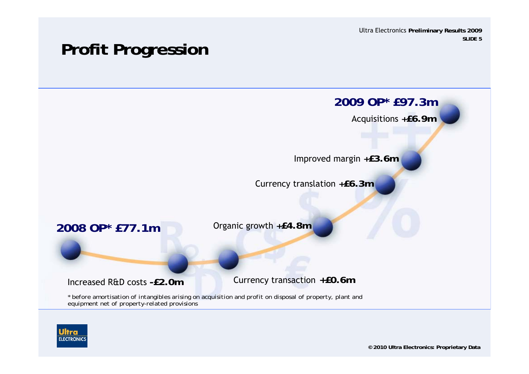# **Profit Progression**



*equipment net of property-related provisions*

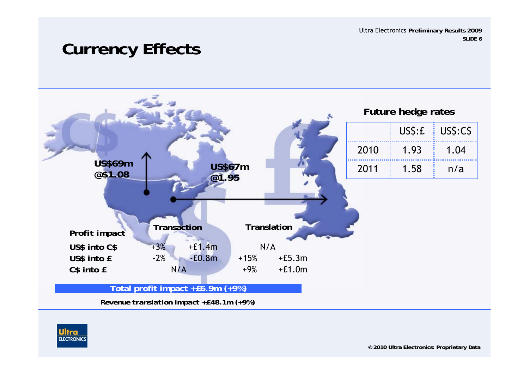## **Currency Effects**



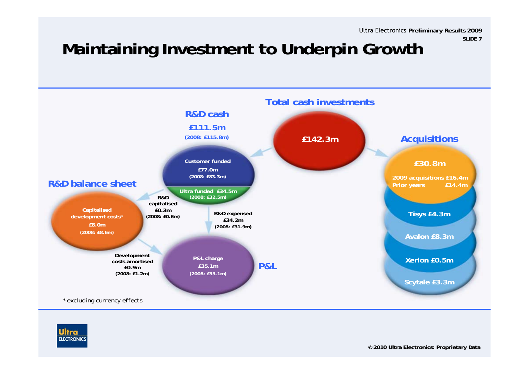# **Maintaining Investment to Underpin Growth**



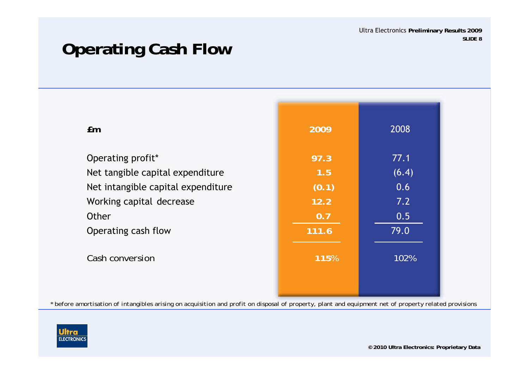# **Operating Cash Flow**

| Em                                 | 2009  | 2008  |
|------------------------------------|-------|-------|
| Operating profit*                  | 97.3  | 77.1  |
| Net tangible capital expenditure   | 1.5   | (6.4) |
| Net intangible capital expenditure | (0.1) | 0.6   |
| Working capital decrease           | 12.2  | 7.2   |
| Other                              | 0.7   | 0.5   |
| Operating cash flow                | 111.6 | 79.0  |
| Cash conversion                    | 115%  | 102%  |
|                                    |       |       |

*\* before amortisation of intangibles arising on acquisition and profit on disposal of property, plant and equipment net of property related provisions*

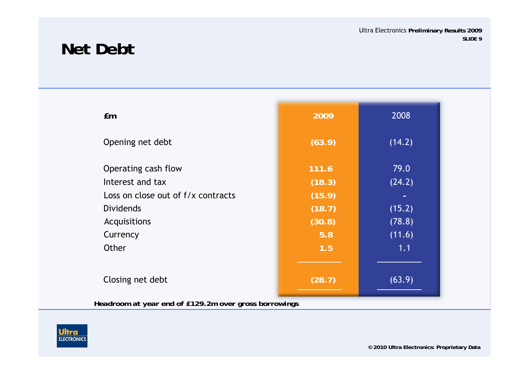## **Net Debt**

| Em                                 | 2009   | 2008   |
|------------------------------------|--------|--------|
| Opening net debt                   | (63.9) | (14.2) |
| Operating cash flow                | 111.6  | 79.0   |
| Interest and tax                   | (18.3) | (24.2) |
| Loss on close out of f/x contracts | (15.9) |        |
| <b>Dividends</b>                   | (18.7) | (15.2) |
| Acquisitions                       | (30.8) | (78.8) |
| Currency                           | 5.8    | (11.6) |
| Other                              | 1.5    | 1.1    |
|                                    |        |        |
| Closing net debt                   | (28.7) | (63.9) |

*Headroom at year end of £129.2m over gross borrowings*

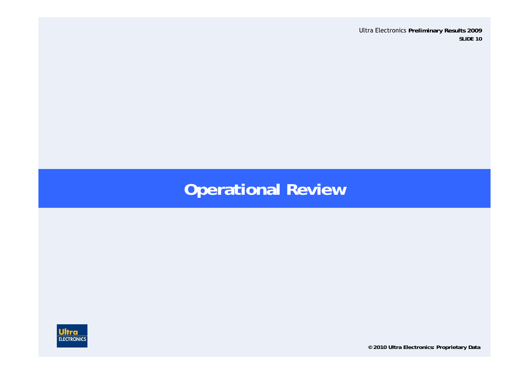# **Operational Review**



**© 2010 Ultra Electronics: Proprietary Data**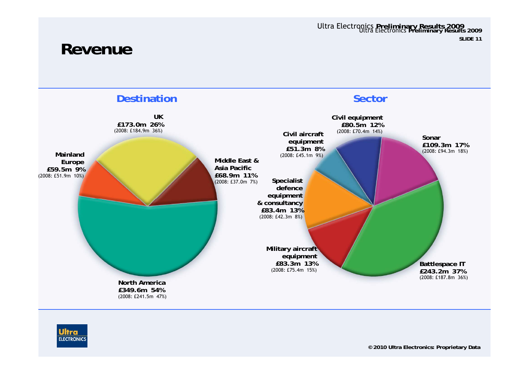### **Revenue**



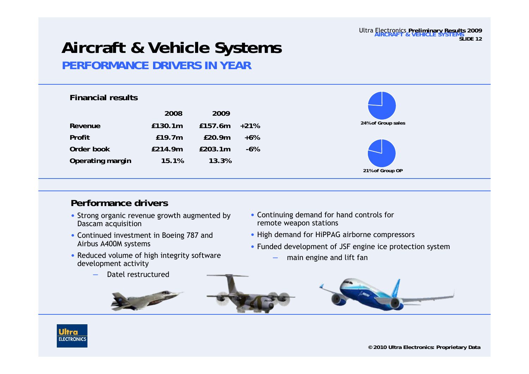#### Ultra Electronics **Preliminary Results 2009 AIRCRAFT & VEHICLE SYSTEMSSLIDE 12**

### **Aircraft & Vehicle Systems PERFORMANCE DRIVERS IN YEAR**

### **Financial results**

| 2008    | 2009    |        |
|---------|---------|--------|
| £130.1m | £157.6m | $+21%$ |
| £19.7m  | £20.9m  | $+6\%$ |
| £214.9m | £203.1m | -6%    |
| 15.1%   | 13.3%   |        |
|         |         |        |



### **Performance drivers**

- Strong organic revenue growth augmented by Dascam acquisition
- Continued investment in Boeing 787 and Airbus A400M systems
- Reduced volume of high integrity software development activity
	- Datel restructured
- Continuing demand for hand controls for remote weapon stations
- High demand for HiPPAG airborne compressors
- Funded development of JSF engine ice protection system
	- main engine and lift fan



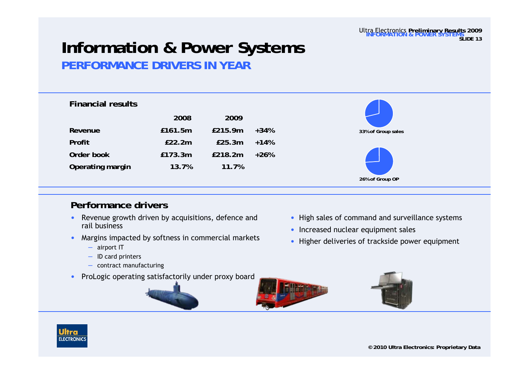### **Information & Power Systems PERFORMANCE DRIVERS IN YEAR**

| <b>Financial results</b> |         |         |        |
|--------------------------|---------|---------|--------|
|                          | 2008    | 2009    |        |
| Revenue                  | £161.5m | £215.9m | $+34%$ |
| Profit                   | E22.2m  | E25.3m  | $+14%$ |
| Order book               | £173.3m | £218.2m | $+26%$ |
| Operating margin         | 13.7%   | 11.7%   |        |



- • Revenue growth driven by acquisitions, defence and rail business
- • Margins impacted by softness in commercial markets
	- airport IT
	- ID card printers
	- contract manufacturing
- •ProLogic operating satisfactorily under proxy board
- High sales of command and surveillance systems
- Increased nuclear equipment sales
- Higher deliveries of trackside power equipment





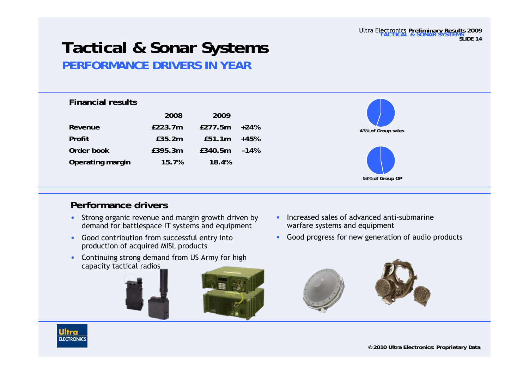## **Tactical & Sonar Systems PERFORMANCE DRIVERS IN YEAR**

| <b>Financial results</b> |  |
|--------------------------|--|
|--------------------------|--|

|                  | 2008    | 2009    |        |
|------------------|---------|---------|--------|
| Revenue          | £223.7m | £277.5m | $+24%$ |
| Profit           | £35.2m  | £51.1m  | $+45%$ |
| Order book       | £395.3m | £340.5m | $-14%$ |
| Operating margin | 15.7%   | 18.4%   |        |



### **Performance drivers**

- • Strong organic revenue and margin growth driven by demand for battlespace IT systems and equipment
- • Good contribution from successful entry into production of acquired MISL products
- • Continuing strong demand from US Army for high capacity tactical radios



- • Increased sales of advanced anti-submarine warfare systems and equipment
- •Good progress for new generation of audio products



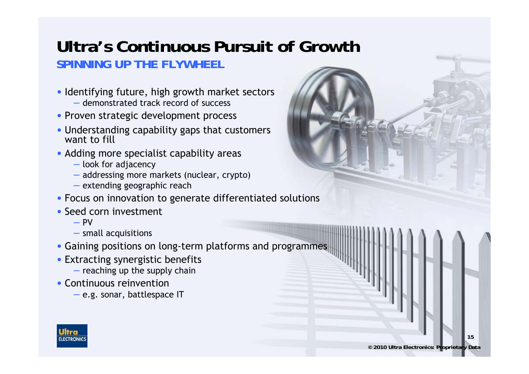### **Ultra's Continuous Pursuit of Growth SPINNING UP THE FLYWHEEL**

- Identifying future, high growth market sectors – demonstrated track record of success
- Proven strategic development process
- Understanding capability gaps that customers want to fill
- Adding more specialist capability areas
	- look for adjacency
	- addressing more markets (nuclear, crypto)
	- extending geographic reach
- Focus on innovation to generate differentiated solutions
- Seed corn investment
	- PV
	- small acquisitions
- Gaining positions on long-term platforms and programmes
- Extracting synergistic benefits
	- $-$  reaching up the supply chain
- Continuous reinvention
	- e.g. sonar, battlespace IT

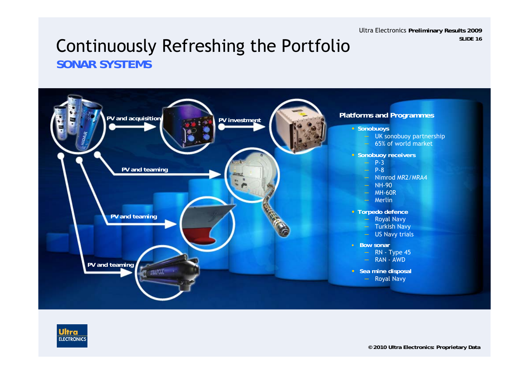### Continuously Refreshing the Portfolio **SONAR SYSTEMS**



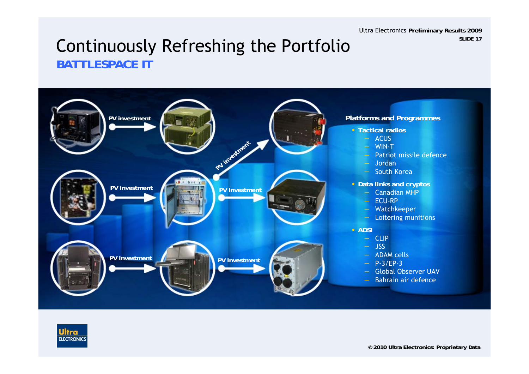### Continuously Refreshing the Portfolio **BATTLESPACE IT**



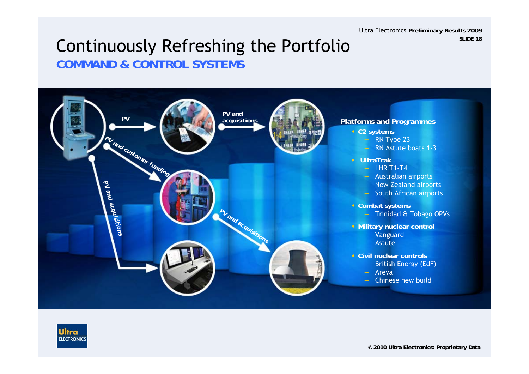### Continuously Refreshing the Portfolio **COMMAND & CONTROL SYSTEMS**



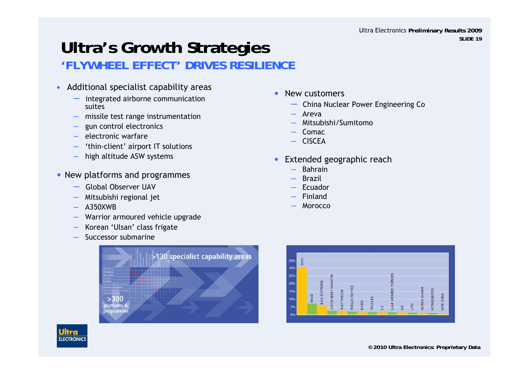### **Ultra's Growth Strategies 'FLYWHEEL EFFECT' DRIVES RESILIENCE**

- • Additional specialist capability areas
	- integrated airborne communication suites
	- missile test range instrumentation
	- gun control electronics
	- electronic warfare
	- 'thin-client' airport IT solutions
	- high altitude ASW systems
- New platforms and programmes
	- Global Observer UAV
	- Mitsubishi regional jet
	- A350XWB

Ultra **ELECTRONICS** 

- Warrior armoured vehicle upgrade
- Korean 'Ulsan' class frigate
- Successor submarine



- • New customers
	- China Nuclear Power Engineering Co
	- Areva
	- Mitsubishi/Sumitomo
	- Comac
	- CISCEA
- • Extended geographic reach
	- Bahrain
	- **Brazil**
	- Ecuador
	- Finland
	- Morocco

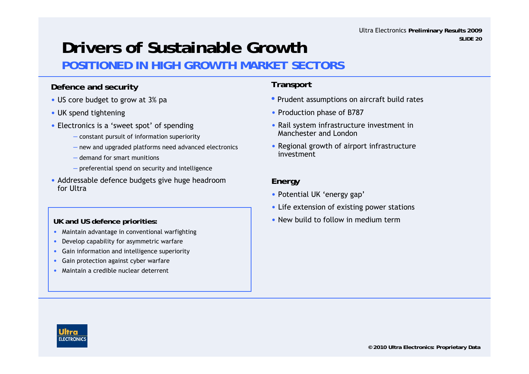# **Drivers of Sustainable Growth**

### **POSITIONED IN HIGH GROWTH MARKET SECTORS**

### **Defence and security**

- US core budget to grow at 3% pa
- UK spend tightening
- Electronics is a 'sweet spot' of spending
	- constant pursuit of information superiority
	- new and upgraded platforms need advanced electronics
	- demand for smart munitions
	- preferential spend on security and intelligence
- Addressable defence budgets give huge headroom for Ultra

### **UK and US defence priorities:**

- •Maintain advantage in conventional warfighting
- •Develop capability for asymmetric warfare
- •Gain information and intelligence superiority
- •Gain protection against cyber warfare
- •Maintain a credible nuclear deterrent

### **Transport**

- Prudent assumptions on aircraft build rates
- Production phase of B787
- Rail system infrastructure investment in Manchester and London
- Regional growth of airport infrastructure investment

### **Energy**

- Potential UK 'energy gap'
- Life extension of existing power stations
- New build to follow in medium term

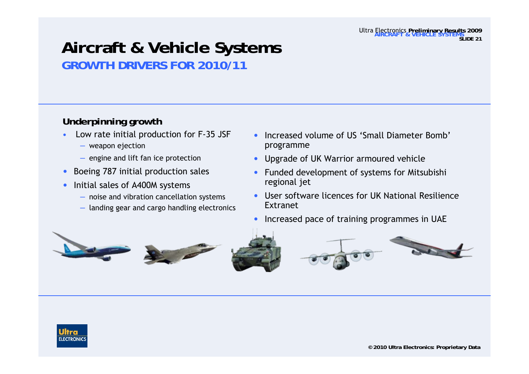## **Aircraft & Vehicle Systems GROWTH DRIVERS FOR 2010/11**

### **Underpinning growth**

- • Low rate initial production for F-35 JSF
	- weapon ejection
	- engine and lift fan ice protection
- •Boeing 787 initial production sales
- $\bullet$  Initial sales of A400M systems
	- noise and vibration cancellation systems
	- landing gear and cargo handling electronics
- • Increased volume of US 'Small Diameter Bomb' programme
- •Upgrade of UK Warrior armoured vehicle
- • Funded development of systems for Mitsubishi regional jet
- • User software licences for UK National ResilienceExtranet
- •Increased pace of training programmes in UAE





Ultra Electronics **Preliminary Results 2009 AIRCRAFT & VEHICLE SYSTEMS**

**IDE 21**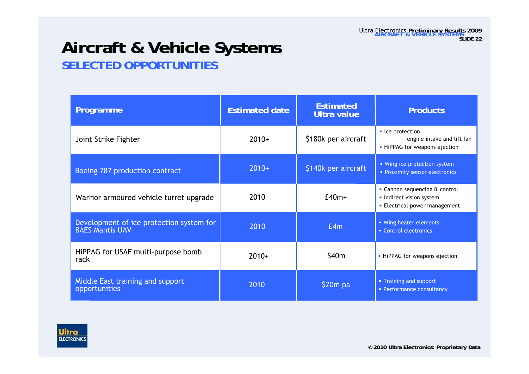## **Aircraft & Vehicle Systems SELECTED OPPORTUNITIES**

| Programme                                                          | <b>Estimated date</b> | <b>Estimated</b><br><b>Ultra value</b> | <b>Products</b>                                                                            |
|--------------------------------------------------------------------|-----------------------|----------------------------------------|--------------------------------------------------------------------------------------------|
| Joint Strike Fighter                                               | $2010+$               | \$180k per aircraft                    | • Ice protection<br>$-$ engine intake and lift fan<br>• HiPPAG for weapons ejection        |
| Boeing 787 production contract                                     | $2010+$               | \$140k per aircraft                    | • Wing ice protection system<br>• Proximity sensor electronics                             |
| Warrior armoured vehicle turret upgrade                            | 2010                  | $E40m+$                                | • Cannon sequencing & control<br>• Indirect vision system<br>• Electrical power management |
| Development of ice protection system for<br><b>BAES Mantis UAV</b> | 2010                  | E4m                                    | • Wing heater elements<br>• Control electronics                                            |
| HiPPAG for USAF multi-purpose bomb<br>rack                         | $2010+$               | \$40m                                  | • HiPPAG for weapons ejection                                                              |
| Middle East training and support<br>opportunities                  | 2010                  | $$20m$ pa                              | • Training and support<br>• Performance consultancy                                        |

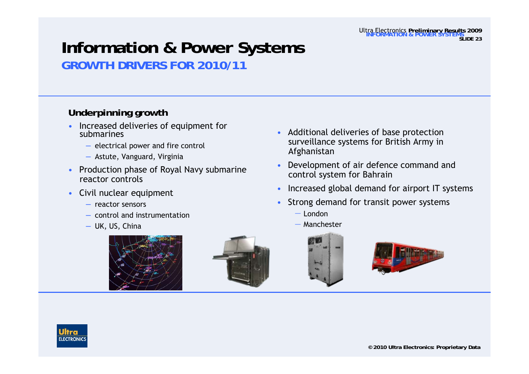**SLIDE 23**

Ultra Electronics **Preliminary Results 2009 INFORMATION & POWER SYSTEMS**

### **Information & Power Systems GROWTH DRIVERS FOR 2010/11**

### **Underpinning growth**

- Increased deliveries of equipment for submarines
	- electrical power and fire control
	- Astute, Vanguard, Virginia
- Production phase of Royal Navy submarine reactor controls
- Civil nuclear equipment
	- reactor sensors
	- control and instrumentation
	- UK, US, China





- Additional deliveries of base protection surveillance systems for British Army in Afghanistan
- • Development of air defence command and control system for Bahrain
- •Increased global demand for airport IT systems
- • Strong demand for transit power systems
	- ― London
	- ― Manchester





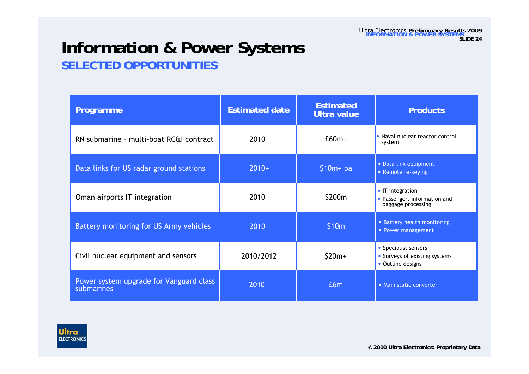## **Information & Power Systems SELECTED OPPORTUNITIES**

| Programme                                             | <b>Estimated date</b> | <b>Estimated</b><br><b>Ultra value</b> | <b>Products</b>                                                          |
|-------------------------------------------------------|-----------------------|----------------------------------------|--------------------------------------------------------------------------|
| RN submarine - multi-boat RC&I contract               | 2010                  | $£60m+$                                | • Naval nuclear reactor control<br>system                                |
| Data links for US radar ground stations               | $2010+$               | $$10m+pa$                              | • Data link equipment<br>• Remote re-keying                              |
| Oman airports IT integration                          | 2010                  | \$200m                                 | • IT integration<br>• Passenger, information and<br>baggage processing   |
| Battery monitoring for US Army vehicles               | 2010                  | \$10m                                  | • Battery health monitoring<br>• Power management                        |
| Civil nuclear equipment and sensors                   | 2010/2012             | $$20m+$                                | • Specialist sensors<br>Surveys of existing systems<br>• Outline designs |
| Power system upgrade for Vanguard class<br>submarines | 2010                  | £6m                                    | • Main static converter                                                  |

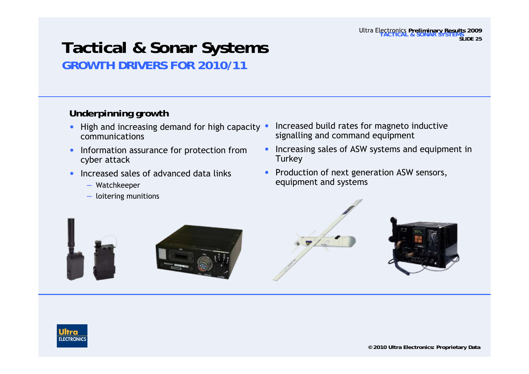#### Ultra Electronics **Preliminary Results 2009 TACTICAL & SONAR SYSTEMSSLIDE 25**

## **Tactical & Sonar Systems GROWTH DRIVERS FOR 2010/11**

### **Underpinning growth**

- High and increasing demand for high capacity communications
- • Information assurance for protection from cyber attack
- • Increased sales of advanced data links
	- Watchkeeper
	- loitering munitions
- Increased build rates for magneto inductive signalling and command equipment
- • Increasing sales of ASW systems and equipment in **Turkey**
- $\bullet$  Production of next generation ASW sensors, equipment and systems







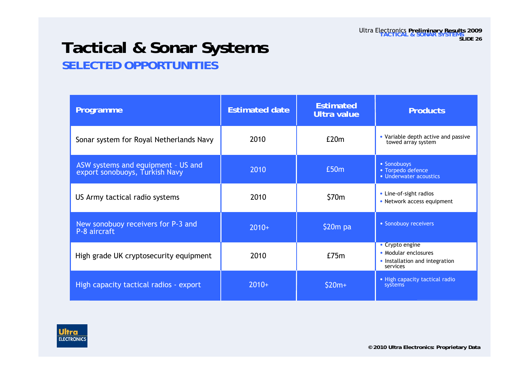## **Tactical & Sonar Systems SELECTED OPPORTUNITIES**

| Programme                                                            | <b>Estimated date</b> | <b>Estimated</b><br><b>Ultra value</b> | <b>Products</b>                                                                       |
|----------------------------------------------------------------------|-----------------------|----------------------------------------|---------------------------------------------------------------------------------------|
| Sonar system for Royal Netherlands Navy                              | 2010                  | E20m                                   | • Variable depth active and passive<br>towed array system                             |
| ASW systems and equipment - US and<br>export sonobuoys, Turkish Navy | 2010                  | £50m                                   | • Sonobuoys<br>• Torpedo defence<br>• Underwater acoustics                            |
| US Army tactical radio systems                                       | 2010                  | \$70m                                  | • Line-of-sight radios<br>• Network access equipment                                  |
| New sonobuoy receivers for P-3 and<br>P-8 aircraft                   | $2010+$               | $$20m$ pa                              | • Sonobuoy receivers                                                                  |
| High grade UK cryptosecurity equipment                               | 2010                  | E75m                                   | • Crypto engine<br>• Modular enclosures<br>• Installation and integration<br>services |
| High capacity tactical radios - export                               | $2010+$               | $$20m+$                                | • High capacity tactical radio<br>systems                                             |

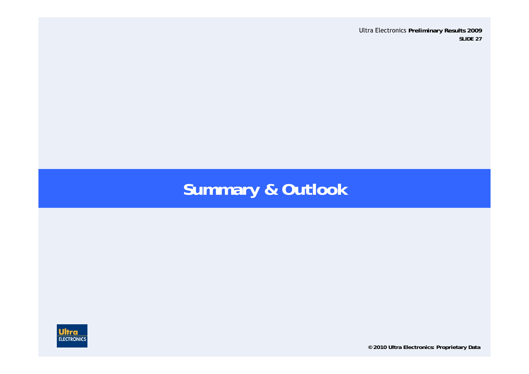# **Summary & Outlook**



**© 2010 Ultra Electronics: Proprietary Data**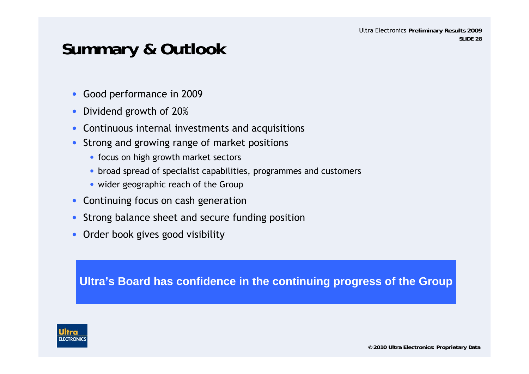# **Summary & Outlook**

- $\bullet$ Good performance in 2009
- $\bullet$ Dividend growth of 20%
- •Continuous internal investments and acquisitions
- • Strong and growing range of market positions
	- focus on high growth market sectors
	- broad spread of specialist capabilities, programmes and customers
	- wider geographic reach of the Group
- •Continuing focus on cash generation
- •Strong balance sheet and secure funding position
- $\bullet$ Order book gives good visibility

**Ultra's Board has confidence in the continuing progress of the Group**

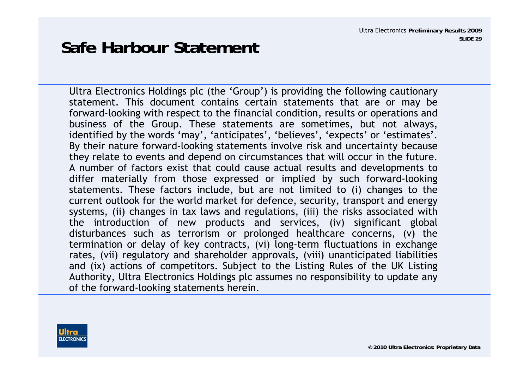# **Safe Harbour Statement**

Ultra Electronics Holdings plc (the 'Group') is providing the following cautionary statement. This document contains certain statements that are or may be forward-looking with respect to the financial condition, results or operations and business of the Group. These statements are sometimes, but not always, identified by the words 'may', 'anticipates', 'believes', 'expects' or 'estimates'. By their nature forward-looking statements involve risk and uncertainty because they relate to events and depend on circumstances that will occur in the future. A number of factors exist that could cause actual results and developments to differ materially from those expressed or implied by such forward-looking statements. These factors include, but are not limited to (i) changes to the current outlook for the world market for defence, security, transport and energy systems, (ii) changes in tax laws and regulations, (iii) the risks associated with the introduction of new products and services, (iv) significant global disturbances such as terrorism or prolonged healthcare concerns, (v) the termination or delay of key contracts, (vi) long-term fluctuations in exchange rates, (vii) regulatory and shareholder approvals, (viii) unanticipated liabilities and (ix) actions of competitors. Subject to the Listing Rules of the UK Listing Authority, Ultra Electronics Holdings plc assumes no responsibility to update any of the forward-looking statements herein.